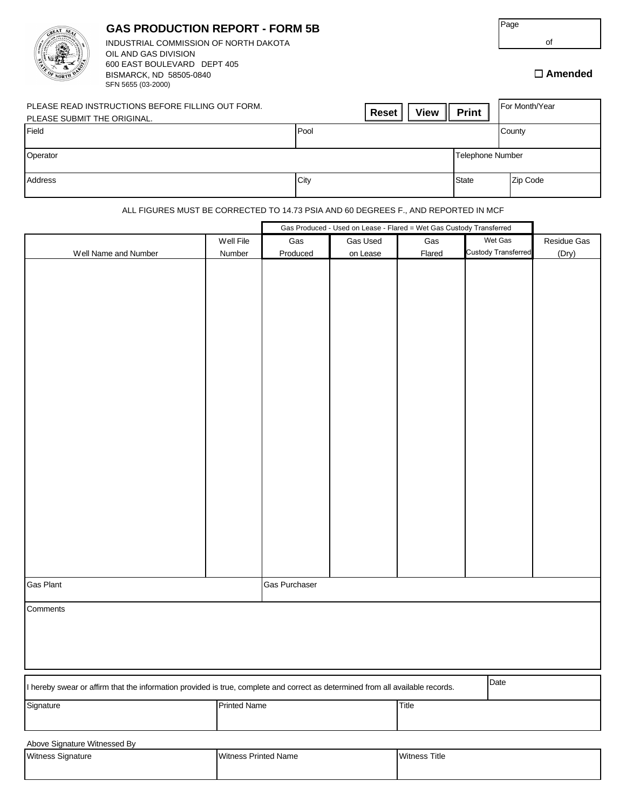| <b>GAS PRODUCTION REPORT - FORM 5B</b><br>INDUSTRIAL COMMISSION OF NORTH DAKOTA                                                |                                                                                                      |                                                                                    |                 |                      |                      |                         | Page<br>of                            |                      |
|--------------------------------------------------------------------------------------------------------------------------------|------------------------------------------------------------------------------------------------------|------------------------------------------------------------------------------------|-----------------|----------------------|----------------------|-------------------------|---------------------------------------|----------------------|
|                                                                                                                                | OIL AND GAS DIVISION<br>600 EAST BOULEVARD DEPT 405<br>BISMARCK, ND 58505-0840<br>SFN 5655 (03-2000) |                                                                                    |                 |                      |                      |                         |                                       | $\square$ Amended    |
| PLEASE READ INSTRUCTIONS BEFORE FILLING OUT FORM.<br><b>Reset</b><br><b>View</b><br>Print<br>PLEASE SUBMIT THE ORIGINAL.       |                                                                                                      |                                                                                    |                 |                      |                      |                         | For Month/Year                        |                      |
| Field                                                                                                                          | Pool                                                                                                 |                                                                                    |                 |                      | County               |                         |                                       |                      |
| Operator                                                                                                                       |                                                                                                      |                                                                                    |                 |                      |                      | <b>Telephone Number</b> |                                       |                      |
| Address                                                                                                                        |                                                                                                      |                                                                                    | City            |                      |                      | State                   | Zip Code                              |                      |
|                                                                                                                                |                                                                                                      | ALL FIGURES MUST BE CORRECTED TO 14.73 PSIA AND 60 DEGREES F., AND REPORTED IN MCF |                 |                      |                      |                         |                                       |                      |
| Gas Produced - Used on Lease - Flared = Wet Gas Custody Transferred                                                            |                                                                                                      |                                                                                    |                 |                      |                      |                         |                                       |                      |
| Well Name and Number                                                                                                           |                                                                                                      | Well File<br>Number                                                                | Gas<br>Produced | Gas Used<br>on Lease | Gas<br>Flared        |                         | Wet Gas<br><b>Custody Transferred</b> | Residue Gas<br>(Dry) |
|                                                                                                                                |                                                                                                      |                                                                                    |                 |                      |                      |                         |                                       |                      |
|                                                                                                                                |                                                                                                      |                                                                                    |                 |                      |                      |                         |                                       |                      |
|                                                                                                                                |                                                                                                      |                                                                                    |                 |                      |                      |                         |                                       |                      |
|                                                                                                                                |                                                                                                      |                                                                                    |                 |                      |                      |                         |                                       |                      |
|                                                                                                                                |                                                                                                      |                                                                                    |                 |                      |                      |                         |                                       |                      |
|                                                                                                                                |                                                                                                      |                                                                                    |                 |                      |                      |                         |                                       |                      |
|                                                                                                                                |                                                                                                      |                                                                                    |                 |                      |                      |                         |                                       |                      |
|                                                                                                                                |                                                                                                      |                                                                                    |                 |                      |                      |                         |                                       |                      |
|                                                                                                                                |                                                                                                      |                                                                                    |                 |                      |                      |                         |                                       |                      |
| <b>Gas Plant</b>                                                                                                               |                                                                                                      |                                                                                    | Gas Purchaser   |                      |                      |                         |                                       |                      |
| Comments                                                                                                                       |                                                                                                      |                                                                                    |                 |                      |                      |                         |                                       |                      |
|                                                                                                                                |                                                                                                      |                                                                                    |                 |                      |                      |                         |                                       |                      |
|                                                                                                                                |                                                                                                      |                                                                                    |                 |                      |                      |                         |                                       |                      |
| I hereby swear or affirm that the information provided is true, complete and correct as determined from all available records. |                                                                                                      |                                                                                    |                 |                      | Date                 |                         |                                       |                      |
| Signature                                                                                                                      |                                                                                                      | <b>Printed Name</b>                                                                | Title           |                      |                      |                         |                                       |                      |
| Above Signature Witnessed By                                                                                                   |                                                                                                      |                                                                                    |                 |                      |                      |                         |                                       |                      |
| Witness Signature                                                                                                              | <b>Witness Printed Name</b>                                                                          |                                                                                    |                 |                      | <b>Witness Title</b> |                         |                                       |                      |